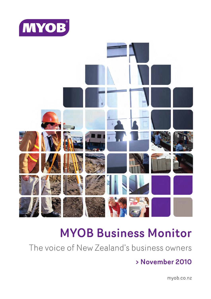



# **MYOB Business Monitor**

The voice of New Zealand's business owners

## > November 2010

myob.co.nz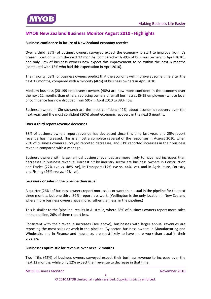<span id="page-1-0"></span>

## **MYOB New Zealand Business Monitor August 2010 ‐ Highlights**

#### **Business confidence in future of New Zealand economy recedes**

Over a third (37%) of business owners surveyed expect the economy to start to improve from it's present position within the next 12 months (compared with 49% of business owners in April 2010), and only 12% of business owners now expect this [improvement](#page-8-0) to be within the next 6 months (compared with 18% who had this expectation in April 2010).

The majority (58%) of business owners predict that the economy will improve at some time after the next 12 months, compared with a minority (46%) of business owners in April 2010.

Medium business (20‐199 employees) owners (48%) are now more confident in the economy over the next 12 months than others, replacing owners of small businesses (5‐19 employees) whose level of confidence has now dropped from 59% in April 2010 to 39% now.

Business owners in Christchurch are the most confident (42%) about economic recovery over the next year, and the most confident (10%) about economic recovery in the next 3 months.

#### **Over a third report revenue decreases**

38% of business owners report revenue has decreased since this time last year, and 25% report revenue has increased. This is almost a complete reversal of the responses in August 2010, when 26% of business owners surveyed reported [decreases,](#page-11-0) and 31% reported increases in their business revenue compared with a year ago.

Business owners with larger annual business revenues are more likely to have had increases than decreases in business revenue. Hardest hit by industry sector are business owners in Construction and Trades (22% +ve vs. 48% -ve), in Transport (17% +ve vs. 44% -ve), and in Agriculture, Forestry and Fishing (26% +ve vs. 41% ‐ve).

#### **Less work or sales in the pipeline than usual**

A quarter (26%) of business owners report more sales or work than usual in the pipeline for the next three months, but one third (32%) report less work. [\(Wellington](#page-16-0) is the only location in New Zealand where more business owners have more, rather than less, in the pipeline.)

This is similar to the 'pipeline' results in Australia, where 28% of business owners report more sales in the pipeline, 26% of them report less.

Consistent with their revenue increases (see above), businesses with larger annual revenues are reporting the most sales or work in the pipeline. By sector, business owners in Manufacturing and Wholesale, and in Finance and Insurance, are most likely to have more work than usual in their pipeline.

#### **[Businesses](#page-20-0) optimistic for revenue over next 12 months**

Two fifths (42%) of business owners surveyed expect their business revenue to increase over the next 12 months, while only 12% expect their revenue to decrease in that time.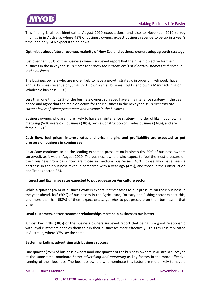

This finding is almost identical to August 2010 expectations, and also to November 2010 survey findings in in Australia, where 43% of business owners expect business revenue to be up in a year's time, and only 14% expect it to be down.

#### **Optimistic about future revenue, majority of New Zealand business owners adopt growth strategy**

Just over half (53%) of the business owners surveyed report that their main objective for their business in the next year is: *To increase or grow the current levels of [clients/customers](#page-24-0) and revenue in the business.*

The business owners who are more likely to have a growth strategy, in order of likelihood: have annual business revenue of \$5m+ (72%); own a small business (69%); and own a Manufacturing or Wholesale business (68%).

Less than one third (28%) of the business owners surveyed have a maintenance strategy in the year ahead and agree that the main objective for their business in the next year is: *To maintain the current levels of clients/customers and revenue in the business.*

Business owners who are more likely to have a maintenance strategy, in order of likelihood: own a maturing (5‐10 years old) business (38%); own a Construction or Trades business (34%); and are female (32%).

#### **Cash flow, fuel prices, interest rates and price margins and profitability are expected to put pressure on business in coming year**

*Cash Flow* continues to be the leading expected pressure on business (by 29% of business owners surveyed), as it was in August 2010. The business owners who expect to feel the most pressure on their business from cash flow are those in medium businesses (45%), those who have seen a decrease in their business revenue compared with a year ago (42%), and those in the [Construction](#page-26-0) and Trades sector (36%).

#### **Interest and Exchange rates expected to put squeeze on Agriculture sector**

While a quarter (26%) of business owners expect *interest rates* to put pressure on their business in the year ahead, half (50%) of businesses in the [Agriculture,](#page-26-0) Forestry and Fishing sector expect this, and more than half (58%) of them expect *exchange rates* to put pressure on their business in that time.

#### **Loyal customers, better customer [relationships](#page-29-0) most help businesses run better**

Almost two fifths (38%) of the business owners surveyed report that being in a good relationship with loyal customers enables them to run their businesses more effectively. (This result is replicated in Australia, where 37% say the same.)

#### **Better marketing, advertising aids business success**

One quarter (25%) of business owners (and one quarter of the business owners in Australia surveyed at the same time) nominate *better advertising and marketing* as key factors in the more effective running of their business. The business owners who nominate this factor are more likely to have a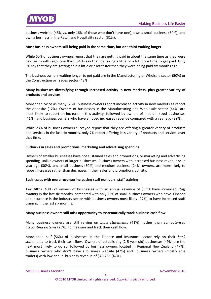

business website (45% vs. only 16% of those who don't have one), own a small business (34%), and own a business in the Retail and Hospitality sector (31%).

#### **Most [business](#page-32-0) owners still being paid in the same time, but one third waiting longer**

While 60% of business owners report that they are getting paid in about the same time as they were paid six months ago, one third (34%) say that it's taking a little or a lot more time to get paid. Only 3% say that they are getting paid a little or a lot faster than they were being paid six months ago.

The business owners waiting longer to get paid are in the Manufacturing or Wholsale sector (50%) or the Construction or Trades sector (43%).

#### **Many businesses diversifying through increased activity in new markets, plus greater variety of products and services**

More than twice as many (26%) business owners report increased activity in new markets as report the opposite (12%). Owners of businesses in the [Manufacturing](#page-33-0) and Wholesale sector (44%) are most likely to report an increase in this activity, followed by owners of medium sized businesses (41%), and business owners who have enjoyed increased revenue compared with a year ago (39%).

While 23% of business owners surveyed report that they are offering a greater variety of products and services in the last six months, only 7% report offering less variety of products and services over that time.

#### **Cutbacks in sales and [promotions,](#page-33-0) marketing and advertising spending**

Owners of smaller businesses have not sustained sales and promotions, or marketing and advertising spending, unlike owners of larger businesses. Business owners with increased business revenue vs. a year ago (30%), and small business (30%) and medium business (24%) owners, are more likely to report increases rather than decreases in their sales and promotions activity.

#### **Businesses with more revenue increasing staff numbers, staff training**

Two fifths (40%) of owners of businesses with an annual revenue of \$5m+ have increased *staff training* in the last six months, compared with only 22% of small business owners who have. Finance and Insurance is the industry sector with business owners most likely (27%) to have increased staff training in the last six months.

#### **Many business owners still miss opportunity to [systematically](#page-35-0) track business cash flow**

Many business owners are still relying on *bank statements* (41%), rather than *computerised accounting systems* (25%), to measure and track their cash flow.

More than half (56%) of businesses in the Finance and Insurance sector rely on their *bank statements* to track their cash flow. Owners of establishing (2‐5 year old) businesses (49%) are the next most likely to do so, followed by business owners located in Regional New Zealand (47%), business owners who don't have a business website (47%) and business owners (mostly sole traders) with low annual business revenue of \$40‐75K (47%).

**MYOB Business Monitor** *MYOB* Business Monitor  *<i>November 2010*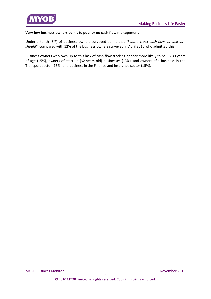

#### **Very few business owners admit to poor or no cash flow management**

Under a tenth (8%) of business owners surveyed admit that *"I don't track cash flow as well as I should",* compared with 12% of the business owners surveyed in April 2010 who admitted this.

Business owners who own up to this lack of cash flow tracking appear more likely to be 18‐39 years of age (15%), owners of start‐up (<2 years old) businesses (13%), and owners of a business in the Transport sector (15%) or a business in the Finance and Insurance sector (15%).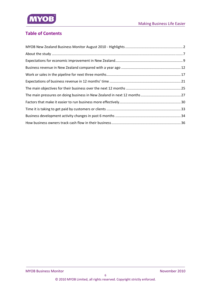

## **Table of Contents**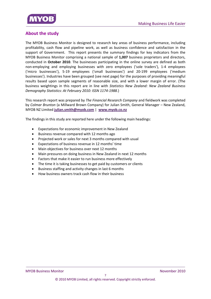<span id="page-6-0"></span>

## **About the study**

The MYOB Business Monitor is designed to research key areas of business performance, including profitability, cash flow and pipeline work, as well as business confidence and satisfaction in the support of Government. This report presents the summary findings for key indicators from the MYOB Business Monitor comprising a national sample of **1,007** business proprietors and directors, conducted in **October 2010**. The businesses participating in the online survey are defined as both non-employing and employing businesses with zero employees ('sole traders'), 1-4 employees ('micro businesses'), 5‐19 employees ('small businesses') and 20‐199 employees ('medium businesses'). Industries have been grouped (see next page) for the purposes of providing meaningful results based upon sample segments of reasonable size, and with a lower margin of error. (The business weightings in this report are in line with *Statistics New Zealand: New Zealand Business Demography Statistics: At February 2010: ISSN 1174‐1988.*)

This research report was prepared by *The Financial Research Company* and fieldwork was completed by *Colmar Brunton* (a Millward Brown Company) for Julian Smith, General Manager – New Zealand, MYOB NZ Limited **julian.smith@myob.com** | **www.myob.co.nz**

The findings in this study are reported here under the following main headings:

- Expectations for economic improvement in New Zealand
- Business revenue compared with 12 months ago
- Projected work or sales for next 3 months compared with usual
- Expectations of business revenue in 12 months' time
- Main objectives for business over next 12 months
- Main pressures on doing business in New Zealand in next 12 months
- Factors that make it easier to run business more effectively
- The time it is taking businesses to get paid by customers or clients
- Business staffing and activity changes in last 6 months
- How business owners track cash flow in their business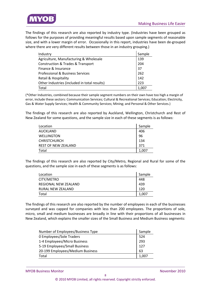



The findings of this research are also reported by industry type. (Industries have been grouped as follows for the purposes of providing meaningful results based upon sample segments of reasonable size, and with a lower margin of error. Occasionally in this report, industries have been de-grouped where there are very different results between those in an industry grouping.)

| Industry                                         | Sample |
|--------------------------------------------------|--------|
| Agriculture, Manufacturing & Wholesale           | 139    |
| <b>Construction &amp; Trades &amp; Transport</b> | 204    |
| Finance & Insurance                              | 37     |
| <b>Professional &amp; Business Services</b>      | 262    |
| Retail & Hospitality                             | 142    |
| Other Industries (included in total results)     | 223    |
| Total                                            | 1.007  |

(\*Other Industries, combined because their sample segment numbers on their own have too high a margin of error, include these sectors: Communication Services; Cultural & Recreational Services; Education; Electricity, Gas & Water Supply Services; Health & Community Services; Mining; and Personal & Other Services.)

The findings of this research are also reported by Auckland, Wellington, Christchurch and Rest of New Zealand for some questions, and the sample size in each of these segments is as follows:

| Location            | Sample |
|---------------------|--------|
| AUCKLAND            | 406    |
| WELLINGTON          | 96     |
| CHRISTCHURCH        | 134    |
| REST OF NEW ZEALAND | 371    |
| Total               | 1,007  |

The findings of this research are also reported by City/Metro, Regional and Rural for some of the questions, and the sample size in each of these segments is as follows:

| Location             | Sample |
|----------------------|--------|
| CITY/METRO           | 448    |
| REGIONAL NEW ZEALAND | 439    |
| RURAL NEW ZEALAND    | 120    |
| Total                | 1.007  |

The findings of this research are also reported by the number of employees in each of the businesses surveyed and was capped for companies with less than 200 employees. The proportions of sole, micro, small and medium businesses are broadly in line with their proportions of all businesses in New Zealand, which explains the smaller sizes of the Small Business and Medium Business segments:

| Number of Employees/Business Type |       |
|-----------------------------------|-------|
| 0 Employees/Sole Traders          | 524   |
| 1-4 Employees/Micro Business      | 293   |
| 5-19 Employees/Small Business     | 127   |
| 20-199 Employees/Medium Business  | 63    |
| Total                             | 1,007 |

MYOB Business Monitor *MYOB Business Monitor*  **1999**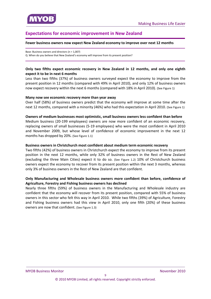<span id="page-8-0"></span>

## **Expectations for economic improvement in New Zealand**

#### **Fewer business owners now expect New Zealand economy to improve over next 12 months**

Base: Business owners and directors (n = 1,007) Q. When do you believe that New Zealand's economy will improve from its present position?

#### **Only two fifths expect economic recovery in New Zealand in 12 months, and only one eighth expect it to be in next 6 months**

Less than two fifths (37%) of business owners surveyed expect the economy to improve from the present position in 12 months (compared with 49% in April 2010), and only 12% of business owners now expect recovery within the next 6 months (compared with 18% in April 2010). (See Figure 1)

#### **Many now see economic recovery more than year away**

Over half (58%) of business owners predict that the economy will improve at some time after the next 12 months, compared with a minority (46%) who had this expectation in April 2010. (See Figure 1)

#### **Owners of medium businesses most optimistic, small business owners less confident than before**

Medium business (20‐199 employees) owners are now more confident of an economic recovery, replacing owners of small businesses (5‐19 employees) who were the most confident in April 2010 and November 2009, but whose level of confidence of economic improvement in the next 12 months has dropped by 20%. (See Figure 1.1)

#### **Business owners in Christchurch most confident about medium term economic recovery**

Two fifths (42%) of business owners in Christchurch expect the economy to improve from its present position in the next 12 months, while only 32% of business owners in the Rest of New Zealand (excluding the three Main Cities) expect it to do so. (See Figure 1.2) 10% of Christchurch business owners expect the economy to recover from its present position within the next 3 months, whereas only 3% of business owners in the Rest of New Zealand are that confident.

#### **Only Manufacturing and Wholesale business owners more confident than before, confidence of Agriculture, Forestry and Fishing business owners has declined**

Nearly three fifths (59%) of business owners in the Manufacturing and Wholesale industry are confident that the economy will recover from its present position, compared with 55% of business owners in this sector who felt this way in April 2010. While two fifths (39%) of Agriculture, Forestry and Fishing business owners had this view in April 2010, only one fifth (20%) of these business owners are now that confident. (See Figure 1.3)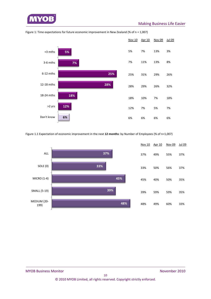



Figure 1: Time expectations for future economic improvement in New Zealand (% of n = 1,007)

Figure 1.1 Expectation of economic improvement in the next **12 months**: by Number of Employees (% of n=1,007)

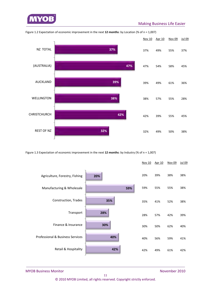



Figure 1.2 Expectation of economic improvement in the next **12 months**: by Location (% of n = 1,007)

Figure 1.3 Expectation of economic improvement in the next **12 months**: by Industry (% of n = 1,007)



MYOB Business Monitor *MYOB Business Monitor*  **1999**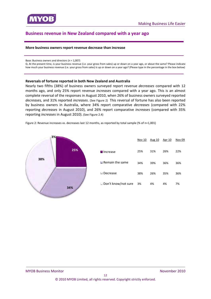

<span id="page-11-0"></span>

## **Business revenue in New Zealand compared with a year ago**

#### **More business owners report revenue decrease than increase**

Base: Business owners and directors (n = 1,007)

Q. At the present time, is your business revenue (i.e. your gross from sales) up or down on a year ago, or about the same? Please indicate how much your business revenue (i.e. your gross from sales) is up or down on a year ago? (Please type in the percentage in the box below)

#### **Reversals of fortune reported in both New Zealand and Australia**

Nearly two fifths (38%) of business owners surveyed report revenue *decreases* compared with 12 months ago, and only 25% report revenue *increases* compared with a year ago. This is an almost complete reversal of the responses in August 2010, when 26% of business owners surveyed reported *decreases,* and 31% reported *increases*. (See Figure 2) This reversal of fortune has also been reported by business owners in Australia, where 34% report comparative *decreases* (compared with 22% reporting *decreases* in August 2010), and 26% report comparative *increases* (compared with 35% reporting *increases* in August 2010). (See Figure 2.4)

Figure 2: Revenue increases vs. decreases last 12 months, as reported by total sample (% of n=1,001)



|                                | <b>Nov 10</b> | Aug 10 | Apr 10 | <b>Nov 09</b> |
|--------------------------------|---------------|--------|--------|---------------|
| <b>■</b> Increase              | 25%           | 31%    | 26%    | 22%           |
| $\blacksquare$ Remain the same | 34%           | 39%    | 36%    | 36%           |
| $\square$ Decrease             | 38%           | 26%    | 35%    | 36%           |
| $\sqcup$ Don't know/not sure   | 3%            | 4%     | 4%     | 7%            |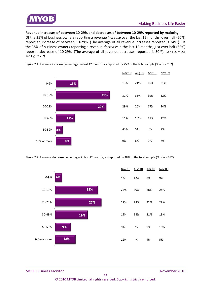

**Revenue increases of between 10‐29% and decreases of between 10‐29% reported by majority**

Of the 25% of business owners reporting a revenue *increase* over the last 12 months, over half (60%) report an increase of between 10‐29%. (The average of all revenue increases reported is 24%.) Of the 38% of business owners reporting a revenue *decrease* in the last 12 months, just over half (52%) report a decrease of 10‐29%. (The average of all revenue decreases reported is 30%). (See Figure 2.1 and Figure 2.2)



Figure 2.1: Revenue **increase** percentages in last 12 months, as reported by 25% of the total sample (% of n = 252)

Figure 2.2: Revenue **decrease** percentages in last 12 months, as reported by 38% of the total sample (% of n = 382)



| Nov 10 | Aug 10 Apr 10 |     | Nov <sub>09</sub> |
|--------|---------------|-----|-------------------|
| 4%     | 12%           | 8%  | 9%                |
| 25%    | 30%           | 28% | 28%               |
| 27%    | 28%           | 32% | 29%               |
| 19%    | 18%           | 21% | 19%               |
| 9%     | 8%            | 9%  | 10%               |
| 12%    | 4%            | 4%  | 5%                |

MYOB Business Monitor *MYOB Business Monitor*  **1999**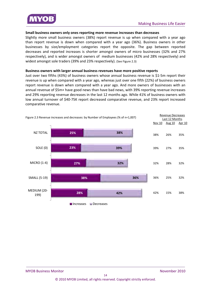

#### **Small business owners only ones reporting more revenue increases than decreases**

Slightly more small business owners (38%) report revenue is up when compared with a year ago than report revenue is down when compared with a year ago (36%). Business owners in other businesses by size/employment categories report the opposite. The gap between reported decreases and reported increases is shorter amongst owners of micro businesses (32% and 27% respectively), and is wider amongst owners of medium businesses (42% and 28% respectively) and widest amongst sole traders (39% and 23% respectively). (See Figure 2.3)

#### **Business owners with larger annual business revenues have more positive reports**

Just over two fifths (43%) of business owners whose annual business revenue is \$1‐5m report their revenue is up when compared with a year ago, whereas just over one fifth (22%) of business owners report revenue is down when compared with a year ago. And more owners of businesses with an annual revenue of \$5m+ have good news than have bad news, with 39% reporting revenue increases and 29% reporting revenue decreases in the last 12 months ago. While 41% of business owners with low annual turnover of \$40‐75K report decreased comparative revenue, and 23% report increased comparative revenue.

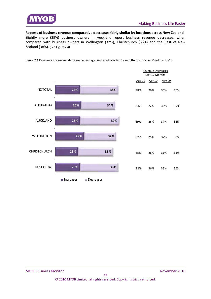

**Reports of business revenue comparative decreases fairly similar by locations across New Zealand** Slightly more (39%) business owners in Auckland report business revenue decreases, when compared with business owners in Wellington (32%), Christchurch (35%) and the Rest of New Zealand (38%). (See Figure 2.4)

Figure 2.4 Revenue increase and decrease percentages reported over last 12 months: by Location (% of n = 1,007)

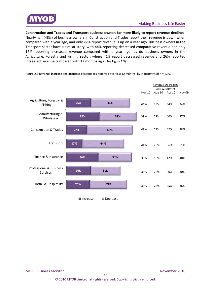

**Construction and Trades and Transport business owners far more likely to report revenue declines**

Nearly half (48%) of business owners in Construction and Trades report their revenue is down when compared with a year ago, and only 22% report revenue is up on a year ago. Business owners in the Transport sector have a similar story, with 44% reporting decreased comparative revenue and only 17% reporting increased revenue compared with a year ago, as do business owners in the Agriculture, Forestry and Fishing sector, where 41% report decreased revenue and 26% reported increased revenue compared with 12 months ago. (See Figure 2.5)



Figure 2.5 Revenue **increase** and **decrease** percentages reported over last 12 months: by Industry (% of n = 1,007)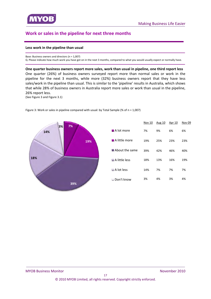<span id="page-16-0"></span>

## **Work or sales in the pipeline for next three months**

#### **Less work in the pipeline than usual**

Base: Business owners and directors (n = 1,007)

Q. Please indicate how much work you have got on in the next 3 months, compared to what you would usually expect or normally have.

**One quarter business owners report more sales, work than usual in pipeline, one third report less** One quarter (26%) of business owners surveyed report more than normal sales or work in the pipeline for the next 3 months, while more (32%) business owners report that they have less sales/work in the pipeline than usual. This is similar to the 'pipeline' results in Australia, which shows that while 28% of business owners in Australia report more sales or work than usual in the pipeline, 26% report less.

(See Figure 3 and Figure 3.1)



Figure 3: Work or sales in pipeline compared with usual: by Total Sample (% of n = 1,007)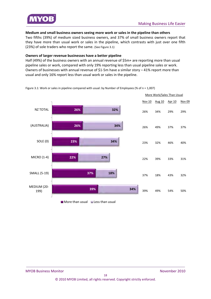

#### **Medium and small business owners seeing more work or sales in the pipeline than others**

Two fifths (39%) of medium sized business owners, and 37% of small business owners report that they have more than usual work or sales in the pipeline, which contrasts with just over one fifth (23%) of sole traders who report the same. (See Figure 3.1)

#### **Owners of larger revenue businesses have a better pipeline**

Half (49%) of the business owners with an annual revenue of \$5m+ are reporting more than usual pipeline sales or work, compared with only 19% reporting less than usual pipeline sales or work. Owners of businesses with annual revenue of \$1-5m have a similar story - 41% report more than usual and only 16% report less than usual work or sales in the pipeline.

Figure 3.1: Work or sales in pipeline compared with usual: by Number of Employees (% of n = 1,007)

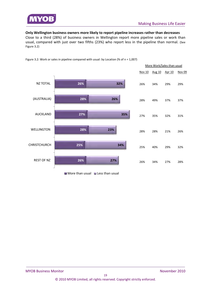

#### **Only Wellington business owners more likely to report pipeline increases rather than decreases**

Close to a third (28%) of business owners in Wellington report more pipeline sales or work than usual, compared with just over two fifths (23%) who report less in the pipeline than normal. (See Figure 3.2)



Figure 3.2: Work or sales in pipeline compared with usual: by Location (% of n = 1,007)

 $\blacksquare$  More than usual  $\blacksquare$  Less than usual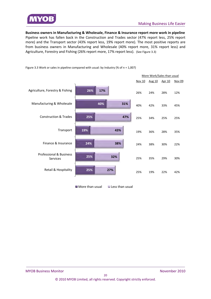

**Business owners in Manufacturing & Wholesale, Finance & Insurance report more work in pipeline**  Pipeline work has fallen back in the Construction and Trades sector (47% report less, 25% report more) and the Transport sector (43% report less, 19% report more). The most positive reports are from business owners in Manufacturing and Wholesale (40% report more, 31% report less) and Agriculture, Forestry and Fishing (26% report more, 17% report less). (See Figure 3.3)

**26% 40% 25% 19% 24% 25% 25% 17% 31% 47% 43% 38% 32% 27%** Agriculture, Forestry & Fishing Manufacturing & Wholesale Construction & Trades Transport Finance & Insurance Professional & Business Services Retail & Hospitality More Work/Sales than usual Nov 10 Aug 10 Apr 10 Nov 09 26% 24% 28% 12% 40% 42% 33% 45% 25% 34% 25% 25% 19% 36% 28% 35% 24% 38% 30% 22% 25% 35% 29% 30% 25% 19% 22% 42%

Figure 3.3 Work or sales in pipeline compared with usual: by Industry (% of n = 1,007)

 $\blacksquare$  More than usual  $\blacksquare$  Less than usual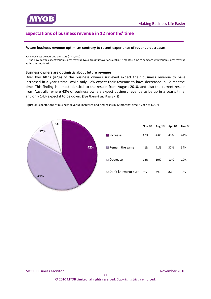<span id="page-20-0"></span>

## **Expectations of business revenue in 12 months' time**

#### **Future business revenue optimism contrary to recent experience of revenue decreases**

Base: Business owners and directors (n = 1,007)

Q. And how do you expect your business revenue (your gross turnover or sales) in 12 months' time to compare with your business revenue at the present time?

#### **Business owners are optimistic about future revenue**

Over two fifths (42%) of the business owners surveyed expect their business revenue to have increased in a year's time, while only 12% expect their revenue to have decreased in 12 months' time. This finding is almost identical to the results from August 2010, and also the current results from Australia, where 43% of business owners expect business revenue to be up in a year's time, and only 14% expect it to be down. (See Figure 4 and Figure 4.2)



Figure 4: Expectations of business revenue increases and decreases in 12 months' time (% of n = 1,007)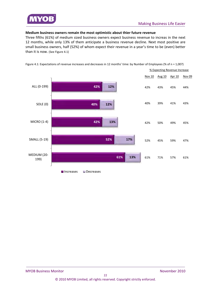

#### **Medium business owners remain the most optimistic about thier future revenue**

Three fifths (61%) of medium sized business owners expect business revenue to increas in the next 12 months, while only 13% of them anticipate a business revenue decline. Next most positive are small business owners, half (52%) of whom expect their revenue in a year's time to be (even) better than it is now. (See Figure 4.1)



Figure 4.1: Expectations of revenue increases and decreases in 12 months' time: by Number of Employees (% of n = 1,007)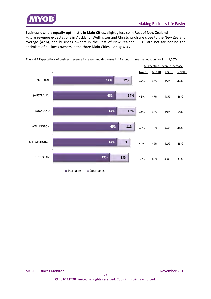

#### **Business owners equally optimistic in Main Cities, slightly less so in Rest of New Zealand**

Future revenue expectations in Auckland, Wellington and Christchurch are close to the New Zealand average (42%), and business owners in the Rest of New Zealand (39%) are not far behind the optimism of business owners in the three Main Cities. (See Figure 4.2)



Figure 4.2 Expectations of business revenue increases and decreases in 12 months' time: by Location (% of n = 1,007)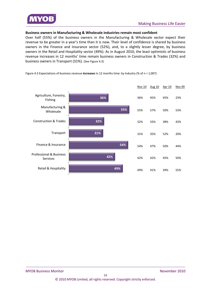

#### **Business owners in Manufacturing & Wholesale industries remain most confident**

Over half (55%) of the business owners in the Manufacturing & Wholesale sector expect their revenue to be greater in a year's time than it is now. Their level of confidence is shared by business owners in the Finance and Insurance sector (52%), and, to a slightly lesser degree, by business owners in the Retail and Hospitality sector (49%). As in August 2010, the least optimistic of business revenue increases in 12 months' time remain business owners in Construction & Trades (32%) and business owners in Transport (31%). (See Figure 4.3)

Figure 4.3 Expectations of business revenue **increases** in 12 months time: by Industry (% of n = 1,007)

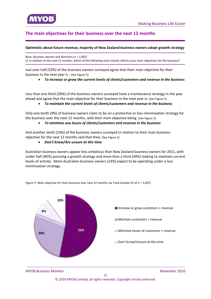<span id="page-24-0"></span>

## **The main objectives for their business over the next 12 months**

#### **Optimistic about future revenue, majority of New Zealand business owners adopt growth strategy**

Base: Business owners and directors (n = 1,007) Q. In relation to the next 12 months, which of the following most closely reflects your main objectives for the business?

Just over half (53%) of the business owners surveyed agree that their main objective for their business in the next year is : (See Figure 5)

*To increase or grow the current levels of clients/customers and revenue in the business*

Less than one third (28%) of the business owners surveyed have a maintenance strategy in the year ahead and agree that the main objective for their business in the next year is: (See Figure 5)

#### *To maintain the current levels of clients/customers and revenue in the business*

Only one tenth (9%) of business owners claim to be on a protective or loss‐minimisation strategy for the business over the next 12 months, with their main objective being: (See Figure 5)

#### *To minimise any losses of clients/customers and revenue in the business*

And another tenth (10%) of the business owners surveyed in relation to their main business objective for the next 12 months said that they: (See Figure 5)

#### *Don't know/Are unsure at this time*

Australian business owners appear less ambitious than New Zealand business owners for 2011, with under half (46%) pursuing a growth strategy and more than a third (34%) looking to maintain current levels of activity. More Australian business owners (14%) expect to be operating under a loss minimisation strategy.

**53% 28% 9% 10%**  $\blacksquare$  Increase or grow customers + revenue **Maintain customers + revenue** Minimise losses of customers + revenue **■ Don't know/Unsure at this time** 

Figure 5: Main objective for their business over next 12 months: by Total Sample (% of n = 1,007)

**MYOB Business Monitor** *MYOB* Business Monitor  *<i>November 2010*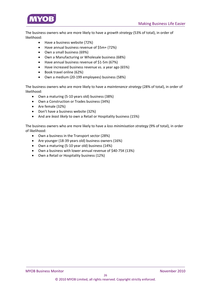

The business owners who are more likely to have a *growth strategy* (53% of total), in order of likelihood:

- Have a business website (72%)
- Have annual business revenue of \$5m+ (72%)
- Own a small business (69%)
- Own a Manufacturing or Wholesale business (68%)
- Have annual business revenue of \$1‐5m (67%)
- Have increased business revenue vs. a year ago (65%)
- Book travel online (62%)
- Own a medium (20‐199 employees) business (58%)

The business owners who are more likely to have a *maintenance strategy* (28% of total), in order of likelihood:

- Own a maturing (5‐10 years old) business (38%)
- Own a Construction or Trades business (34%)
- Are female (32%)
- Don't have a business website (32%)
- And are *least likely* to own a Retail or Hospitality business (15%)

The business owners who are more likely to have a *loss minimisation strategy* (9% of total), in order of likelihood:

- Own a business in the Transport sector (28%)
- Are younger (18‐39 years old) business owners (16%)
- Own a maturing (5‐10 year old) business (14%)
- Own a business with lower annual revenue of \$40‐75K (13%)
- Own a Retail or Hospitality business (12%)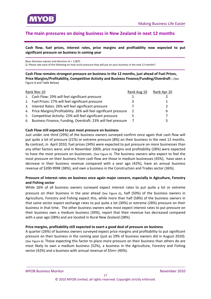<span id="page-26-0"></span>

## **The main pressures on doing business in New Zealand in next 12 months**

**Cash flow, fuel prices, interest rates, price margins and profitability now expected to put significant pressure on business in coming year**

Base: Business owners and directors (n = 1,007) Q. Please rate each of the following on how much pressure they will put on your business in the next 12 months?

**Cash Flow remains strongest pressure on business in the 12 months, just ahead of Fuel Prices, Price Margins/Profitability, Competitive Activity and Business Finance/Funding/Overdraft :** (See Figure 6 and Table Below)

|    | Rank Nov 10                                                        | Rank Aug 10 | Rank Apr 10 |
|----|--------------------------------------------------------------------|-------------|-------------|
|    | 1. Cash Flow: 29% will feel significant pressure                   |             |             |
|    | 2. Fuel Prices: 27% will feel significant pressure                 |             |             |
| 3. | Interest Rates: 26% will feel significant pressure                 |             | ר.          |
|    | 4. Price Margins/Profitability: 26% will feel significant pressure | -2          | 6           |
|    | 5. Competitive Activity: 23% will feel significant pressure        |             |             |
|    | 6. Business Finance, Funding, Overdraft: 23% will feel pressure    |             |             |

#### **Cash Flow still expected to put most pressure on business**

Just under one third (29%) of the business owners surveyed confirm once again that cash flow will put quite a lot of pressure (21%) or extreme pressure (8%) on their business in the next 12 months. By contrast, in April 2010, fuel prices (34%) were expected to put pressure on more businesses than any other factors were; and in November 2009, price margins and profitability (28%) were expected to have the most pressure on businesses. (See Figure 6) The business owners who expect to feel the most pressure on their business from cash flow are those in medium businesses (45%), have seen a decrease in their business revenue compared with a year ago (42%), have an annual business revenue of \$200‐999K (38%), and own a business in the Construction and Trades sector (36%).

#### **Pressure of interest rates on business once again major concern, especially in Agiculture, Forestry and Fishing sector**

While 26% of all business owners surveyed expect interest rates to put quite a lot or extreme pressure on their business in the year ahead (See Figure 6), half (50%) of the business owners in Agriculture, Forestry and Fishing expect this, while more than half (58%) of the business owners in that same sector expect exchange rates to put quite a lot (30%) or extreme (28%) pressure on their business in that time. The other business owners who most expect interest rates to put pressure on their business own a medium business (39%), report that their revenue has decreased compared with a year ago (38%) and are located in Rural New Zealand (38%).

#### **Price margins, profitability still expected to exert a good deal of pressure on business**

A quarter (26%) of business owners surveyed expect price margins and profitability to put significant pressure on their business in the coming year (just as 29% of business owners did in August 2010). (See Figure 6) Those expecting this factor to place more pressure on their business than others do are most likely to own a medium business (52%), a business in the Agriculture, Forestry and Fishing sector (42%) and a business with annual revenue of \$5m+ (40%).

**MYOB Business Monitor** *MYOB* Business Monitor  *<i>November 2010*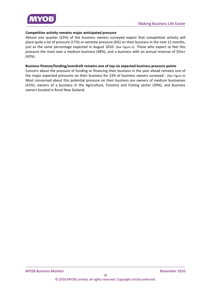

#### **Competitive activity remains major anticipated pressure**

Almost one quarter (23%) of the business owners surveyed expect that competitive activity will place quite a lot of pressure (17%) or extreme pressure (6%) on their business in the next 12 months, just as the same percentage expected in August 2010. (See Figure 6) Those who expect to feel this pressure the most own a medium business (48%), and a business with an annual revenue of \$5m+ (42%).

#### **Business finance/funding/overdraft remains one of top six expected business pressure points**

Concern about the pressure of funding or financing their business in the year ahead remains one of the major expected pressures on their business for 23% of business owners surveyed . (See Figure 6) Most concerned about this potential pressure on their business are owners of medium businesses (41%), owners of a business in the Agriculture, Forestry and Fishing sector (39%), and business owners located in Rural New Zealand.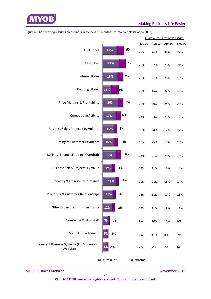

|                                                       |                      |    |    |         |        | Quite a Lot/Extreme Pressure |        |
|-------------------------------------------------------|----------------------|----|----|---------|--------|------------------------------|--------|
|                                                       |                      |    |    | Nov 10  | Aug 10 | Apr 10                       | Nov 09 |
| <b>Fuel Prices</b>                                    | 18%                  | 9% |    | 27%     | 26%    | 34%                          | 22%    |
| Cash Flow                                             | 21%                  |    | 8% | 29%     | 32%    | 28%                          | 21%    |
| <b>Interest Rates</b>                                 | 19%                  | 7% |    | 26%     | 21%    | 28%                          | 19%    |
| <b>Exchange Rates</b>                                 | 11%                  | 9% |    | 20%     | 15%    | 26%                          | 19%    |
| Price Margins & Profitability                         | 20%                  | 6% |    | 26%     | 29%    | 24%                          | 28%    |
| <b>Competitive Activity</b>                           | 17%                  | 6% |    | 23%     | 24%    | 23%                          | 19%    |
| Business Sales/Projects: by Volume                    | 15%                  | 3% |    | 18%     | 24%    | 12%                          | 17%    |
| Timing of Customer Payments                           | 15%                  | 4% |    | 19%     | 25%    | 19%                          | 16%    |
| <b>Business Finance, Funding, Overdraft</b>           | 17%                  | 6% |    | 23%     | 21%    | 25%                          | 15%    |
| <b>Business Sales/Projects: by Value</b>              | 12%                  | 3% |    | 15%     | 21%    | 16%                          | 14%    |
| Industry/Category Performance                         | 17%                  | 3% |    | 20%     | 21%    | 15%                          | 14%    |
| Marketing & Customer Relationships                    | 13%                  | 3% |    | 16%     | 18%    | 12%                          | 13%    |
| Other (Than Staff) Business Costs                     | 12%                  | 3% |    | 15%     | 21%    | 19%                          | 12%    |
| Number & Cost of Staff                                | 2%                   |    |    | 9%      | 10%    | 10%                          | 9%     |
| <b>Staff Skills &amp; Training</b>                    | 2%                   |    |    | 7%      | 11%    | 8%                           | 7%     |
| Current Business Systems (IT, Accounting,<br>Website) | 2%                   |    |    | 7%      | 7%     | 7%                           | 6%     |
|                                                       | <b>■</b> Quite a lot |    |    | Extreme |        |                              |        |

Figure 6: The specific pressures on business in the next 12 months: By total sample (% of n=1,007)

MYOB Business Monitor *MYOB Business Monitor* *MYOB Business Monitor Monitor Monitor**Algoen**Monitor* **<b>***Monitor Monitor Monitor Monitor Monitor**<b>Monitor <i>Monitor Monitor Monitor*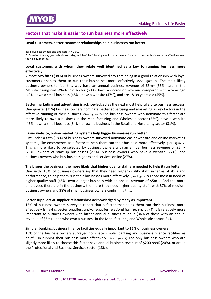<span id="page-29-0"></span>

## **Factors that make it easier to run business more effectively**

#### **Loyal customers, better customer relationships help businesses run better**

Base: Business owners and directors (n = 1,007) Q. Based on the way you do business today, which of the following would make it easier for you to run your business more effectively over the next 12 months?

#### **Loyal customers with whom they relate well identified as a key to running business more effectively**

Almost two fifths (38%) of business owners surveyed say that being in a good relationship with loyal customers enables them to run their businesses more effectively. (See Figure 7) The most likely business owners to feel this way have an annual business revenue of \$5m+ (55%), are in the Manufacturing and Wholesale sector (50%), have a decreased revenue compared with a year ago (49%), own a small business (48%), have a website (47%), and are 18‐39 years old (45%).

#### **Better marketing and advertising is acknowledged as the next most helpful aid to business success**

One quarter (25%) business owners nominate better advertising and marketing as key factors in the effective running of their business. (See Figure 7) The business owners who nominate this factor are more likely to own a business in the Manufacturing and Wholesale sector (55%), have a website (45%), own a small business (34%), or own a business in the Retail and Hospitality sector (31%).

#### **Easier website, online marketing systems help bigger businesses run better**

Just under a fifth (18%) of business owners surveyed nominate easier website and online marketing systems, like ecommerce, as a factor to help them run their business more effectively. (See Figure 7) This is more likely to be selected by business owners with an annual business revenue of \$5m+ (29%), owners of start‐up businesses (27%), business owners who have a website (27%), and business owners who buy business goods and services online (27%).

#### The bigger the business, the more likely that higher quality staff are needed to help it run better

One sixth (16%) of business owners say that they need higher quality staff, in terms of skills and performance, to help them run their businesses more effectively. (See Figure 7) Those most in need of higher quality staff (45%) own a larger business with an annual revenue of \$5m+. And the more employees there are in the business, the more they need higher quality staff, with 37% of medium business owners and 38% of small business owners confirming this.

#### **Better suppliers or supplier relationships acknowledged by many as important**

15% of business owners surveyed report that a factor that helps them run their business more effectively is having better suppliers and/or supplier relationships. (See Figure 7) This is relatively more important to business owners with higher annual business revenue (36% of those with an annual revenue of \$5m+), and who own a business in the Manufacturing and Wholesale sector (34%).

#### **Simpler banking, business finance facilities equally important to 15% of business owners**

15% of the business owners surveyed nominate simpler banking and business finance facilities as helpful in running their business more effectively. (See Figure 7) The only business owners who are slightly more likely to choose this factor have annual business revenue of \$200‐999K (20%), or are in the Professional and Business Services sector (18%).

**MYOB Business Monitor** *MYOB* Business Monitor  *<i>November 2010*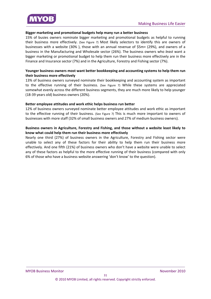

#### **Bigger marketing and promotional budgets help many run a better business**

15% of busies owners nominate bigger marketing and promotional budgets as helpful to running their business more effectively. (See Figure 7) Most likely selectors to identify this are owners of businesses with a website (30% ), those with an annual revenue of \$5m+ (29%), and owners of a business in the Manufacturing and Wholesale sector (26%). The business owners who *least* want a bigger marketing or promotional budget to help them run their business more effectively are in the Finance and Insurance sector (7%) and in the Agriculture, Forestry and Fishing sector (7%).

#### **Younger business owners most want better bookkeeping and accounting systems to help them run their business more effectively**

13% of business owners surveyed nominate their bookkeeping and accounting system as important to the effective running of their business. (See Figure 7) While these systems are appreciated somewhat evenly across the different business segments, they are much more likely to help younger (18‐39 years old) business owners (20%).

#### **Better employee attitudes and work ethic helps business run better**

12% of business owners surveyed nominate better employee attitudes and work ethic as important to the effective running of their business. (See Figure 7) This is much more important to owners of businesses with more staff (32% of small business owners and 27% of medium business owners).

#### **Business owners in Agriculture, Forestry and Fishing, and those without a website least likely to know what could help them run their business more effectively**

Nearly one third (27%) of business owners in the Agriculture, Forestry and Fishing sector were unable to select any of these factors for their ability to help them run their business more effectively. And one fifth (21%) of business owners who don't have a website were unable to select any of these factors as helpful to the more effective running of their business (compared with only 6% of those who have a business website answering 'don't know' to the question).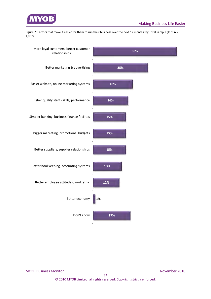

Figure 7: Factors that make it easier for them to run their business over the next 12 months: by Total Sample (% of n = 1,007).

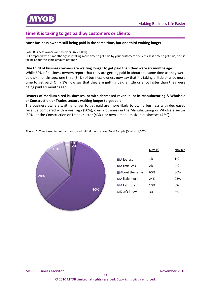

<span id="page-32-0"></span>

## **Time it is taking to get paid by customers or clients**

#### **Most business owners still being paid in the same time, but one third waiting longer**

Base: Business owners and directors (n = 1,007)

Q. Compared with 6 months ago is it taking more time to get paid by your customers or clients, less time to get paid, or is it taking about the same amount of time?

#### **One third of business owners are waiting longer to get paid than they were six months ago**

While 60% of business owners report that they are getting paid in about the same time as they were paid six months ago, one third (34%) of business owners now say that it's taking a little or a lot more time to get paid. Only 3% now say that they are getting paid a little or a lot faster than they were being paid six months ago.

#### **Owners of medium sized businesses, or with decreased revenue, or in Manufacturing & Wholsale or Construction or Trades sectors waiting longer to get paid**

The business owners waiting longer to get paid are more likely to own a business with decreased revenue compared with a year ago (50%), own a business in the Manufacturing or Wholsale sector (50%) or the Construction or Trades sector (43%), or own a medium sized businesses (45%).



Figure 10: Time taken to get paid compared with 6 months ago: Total Sample (% of n= 1,007)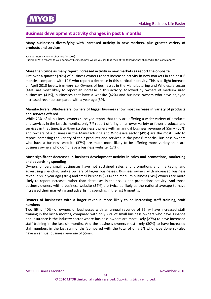<span id="page-33-0"></span>

## **Business development activity changes in past 6 months**

#### **Many businesses diversifying with increased activity in new markets, plus greater variety of products and services**

#### Base business owners & directors (n=1007)

Question: With regards to your company business, how would you say that each of the following has changed in the last 6 months?

#### **More than twice as many report increased activity in new markets as report the opposite**

Just over a quarter (26%) of business owners report increased activity in new markets in the past 6 months, compared with 12% who report a decrease in this particular activity. This is a slight increase on April 2010 levels. (See Figure 11) Owners of businesses in the Manufacturing and Wholesale sector (44%) are most likely to report an increase in this activity, followed by owners of medium sized businesses (41%), businesses that have a website (42%) and business owners who have enjoyed increased revenue compared with a year ago (39%).

#### **Manufacturers, Wholesalers, owners of bigger business show most increase in variety of products and services offered**

While 23% of all business owners surveyed report that they are offering a wider variety of products and services in the last six months, only 7% report offering a narrower variety or fewer products and services in that time. (See Figure 11) Business owners with an annual business revenue of \$5m+ (50%) and owners of a business in the Manufacturing and Wholesale sector (49%) are the most likely to report increasing the variety of their products and services in the past 6 months. Business owners who have a business website (37%) are much more likely to be offering more variety than are business owners who don't have a business website (17%)**.**

#### **Most significant decreases in business development activity in sales and promotions, marketing and advertising spending**

Owners of very small businesses have not sustained sales and promotions and marketing and advertising spending, unlike owners of larger businesses. Business owners with increased business revenue vs. a year ago (30%) and small business (30%) and medium business (24%) owners are more likely to report increases rather than decreases in their sales and promotions activity. And those business owners with a business website (34%) are twice as likely as the national average to have increased their marketing and advertising spending in the last 6 months.

#### **Owners of businesses with a larger revenue more likely to be increasing staff training, staff numbers**

Two fifths (40%) of owners of businesses with an annual revenue of \$5m+ have increased staff training in the last 6 months, compared with only 22% of small business owners who have. Finance and Insurance is the industry sector where business owners are most likely (27%) to have increased staff training in the last six months. And the business owners most likely (30%) to have increased staff numbers in the last six months (compared with the total of only 6% who have done so) also have an annual business revenue of \$5m+.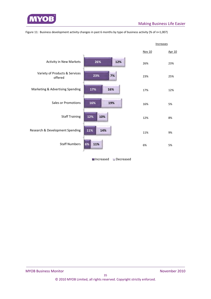

| Figure 11: Business development activity changes in past 6 months by type of business activity (% of n=1,007) |  |  |
|---------------------------------------------------------------------------------------------------------------|--|--|
|---------------------------------------------------------------------------------------------------------------|--|--|

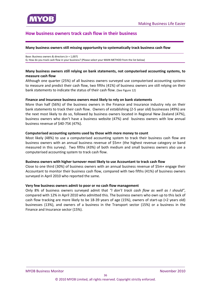## <span id="page-35-0"></span>**How business owners track cash flow in their business**

#### **Many business owners still missing opportunity to systematically track business cash flow**

Base: Business owners & directors (n = 1,007) Q. How do you track cash flow in your business? (Please select your MAIN METHOD from the list below)

#### **Many business owners still relying on bank statements, not computerised accounting systems, to measure cash flow**

Although one quarter (25%) of all business owners surveyed use computerised accounting systems to measure and predict their cash flow, two fifths (41%) of business owners are still relying on their bank statements to indicate the status of their cash flow. (See Figure 12)

#### **Finance and Insurance business owners most likely to rely on bank statements**

More than half (56%) of the business owners in the Finance and Insurance industry rely on their bank statements to track their cash flow. Owners of establishing (2‐5 year old) businesses (49%) are the next most likely to do so, followed by business owners located in Regional New Zealand (47%), business owners who don't have a business website (47%) and business owners with low annual business revenue of \$40‐75K (47%).

#### **Computerised accounting systems used by those with more money to count**

Most likely (48%) to use a computerised accounting system to track their business cash flow are business owners with an annual business revenue of \$5m+ (the highest revenue category or band measured in this survey). Two fifths (43%) of both medium and small business owners also use a computerised accounting system to track cash flow.

#### **Business owners with higher turnover most likely to use Accountant to track cash flow**

Close to one third (30%) of business owners with an annual business revenue of \$5m+ engage their Accountant to monitor their business cash flow, compared with two fifths (41%) of business owners surveyed in April 2010 who reported the same.

#### **Very few business owners admit to poor or no cash flow management**

Only 8% of business owners surveyed admit that *"I don't track cash flow as well as I should"*, compared with 12% in April 2010 who admitted this. The business owners who own up to this lack of cash flow tracking are more likely to be 18-39 years of age (15%), owners of start-up (<2 years old) businesses (13%), and owners of a business in the Transport sector (15%) or a business in the Finance and Insurance sector (15%).